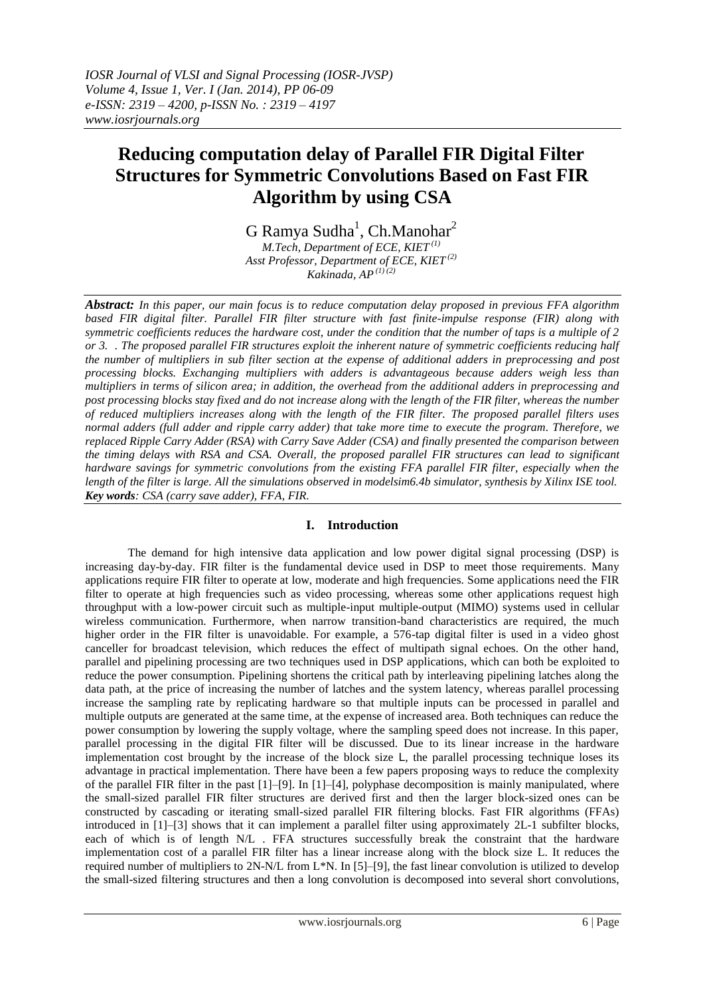# **Reducing computation delay of Parallel FIR Digital Filter Structures for Symmetric Convolutions Based on Fast FIR Algorithm by using CSA**

 $G$  Ramya Sudha<sup>1</sup>, Ch.Manohar<sup>2</sup> *M.Tech, Department of ECE, KIET (1)*

*Asst Professor, Department of ECE, KIET (2) Kakinada, AP (1) (2)*

*Abstract: In this paper, our main focus is to reduce computation delay proposed in previous FFA algorithm based FIR digital filter. Parallel FIR filter structure with fast finite-impulse response (FIR) along with symmetric coefficients reduces the hardware cost, under the condition that the number of taps is a multiple of 2 or 3. . The proposed parallel FIR structures exploit the inherent nature of symmetric coefficients reducing half the number of multipliers in sub filter section at the expense of additional adders in preprocessing and post processing blocks. Exchanging multipliers with adders is advantageous because adders weigh less than multipliers in terms of silicon area; in addition, the overhead from the additional adders in preprocessing and post processing blocks stay fixed and do not increase along with the length of the FIR filter, whereas the number of reduced multipliers increases along with the length of the FIR filter. The proposed parallel filters uses normal adders (full adder and ripple carry adder) that take more time to execute the program. Therefore, we replaced Ripple Carry Adder (RSA) with Carry Save Adder (CSA) and finally presented the comparison between the timing delays with RSA and CSA. Overall, the proposed parallel FIR structures can lead to significant hardware savings for symmetric convolutions from the existing FFA parallel FIR filter, especially when the length of the filter is large. All the simulations observed in modelsim6.4b simulator, synthesis by Xilinx ISE tool. Key words: CSA (carry save adder), FFA, FIR.*

# **I. Introduction**

The demand for high intensive data application and low power digital signal processing (DSP) is increasing day-by-day. FIR filter is the fundamental device used in DSP to meet those requirements. Many applications require FIR filter to operate at low, moderate and high frequencies. Some applications need the FIR filter to operate at high frequencies such as video processing, whereas some other applications request high throughput with a low-power circuit such as multiple-input multiple-output (MIMO) systems used in cellular wireless communication. Furthermore, when narrow transition-band characteristics are required, the much higher order in the FIR filter is unavoidable. For example, a 576-tap digital filter is used in a video ghost canceller for broadcast television, which reduces the effect of multipath signal echoes. On the other hand, parallel and pipelining processing are two techniques used in DSP applications, which can both be exploited to reduce the power consumption. Pipelining shortens the critical path by interleaving pipelining latches along the data path, at the price of increasing the number of latches and the system latency, whereas parallel processing increase the sampling rate by replicating hardware so that multiple inputs can be processed in parallel and multiple outputs are generated at the same time, at the expense of increased area. Both techniques can reduce the power consumption by lowering the supply voltage, where the sampling speed does not increase. In this paper, parallel processing in the digital FIR filter will be discussed. Due to its linear increase in the hardware implementation cost brought by the increase of the block size L, the parallel processing technique loses its advantage in practical implementation. There have been a few papers proposing ways to reduce the complexity of the parallel FIR filter in the past [1]–[9]. In [1]–[4], polyphase decomposition is mainly manipulated, where the small-sized parallel FIR filter structures are derived first and then the larger block-sized ones can be constructed by cascading or iterating small-sized parallel FIR filtering blocks. Fast FIR algorithms (FFAs) introduced in [1]–[3] shows that it can implement a parallel filter using approximately 2L-1 subfilter blocks, each of which is of length N/L . FFA structures successfully break the constraint that the hardware implementation cost of a parallel FIR filter has a linear increase along with the block size L. It reduces the required number of multipliers to 2N-N/L from L\*N. In [5]–[9], the fast linear convolution is utilized to develop the small-sized filtering structures and then a long convolution is decomposed into several short convolutions,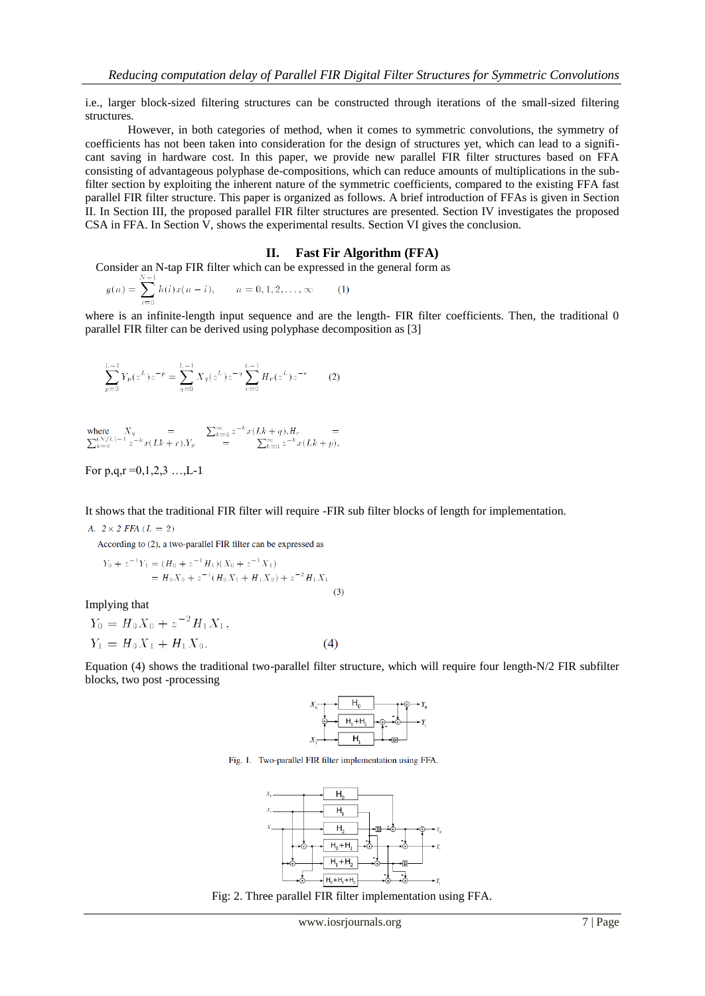i.e., larger block-sized filtering structures can be constructed through iterations of the small-sized filtering structures.

However, in both categories of method, when it comes to symmetric convolutions, the symmetry of coefficients has not been taken into consideration for the design of structures yet, which can lead to a significant saving in hardware cost. In this paper, we provide new parallel FIR filter structures based on FFA consisting of advantageous polyphase de-compositions, which can reduce amounts of multiplications in the subfilter section by exploiting the inherent nature of the symmetric coefficients, compared to the existing FFA fast parallel FIR filter structure. This paper is organized as follows. A brief introduction of FFAs is given in Section II. In Section III, the proposed parallel FIR filter structures are presented. Section IV investigates the proposed CSA in FFA. In Section V, shows the experimental results. Section VI gives the conclusion.

## **II. Fast Fir Algorithm (FFA)**

Consider an N-tap FIR filter which can be expressed in the general form as

$$
y(n) = \sum_{i=0}^{n} h(i)x(n-i), \qquad n = 0, 1, 2, \dots, \infty \tag{1}
$$

where is an infinite-length input sequence and are the length- FIR filter coefficients. Then, the traditional 0 parallel FIR filter can be derived using polyphase decomposition as [3]

$$
\sum_{p=0}^{L-1} Y_p(z^L) z^{-p} = \sum_{q=0}^{L-1} X_q(z^L) z^{-q} \sum_{r=0}^{L-1} H_r(z^L) z^{-r}
$$
 (2)

$$
\begin{array}{lll} \text{where} & X_q &= \sum_{k=0}^\infty z^{-k} x(Lk+q), \! H_r &= \sum_{k=0}^{\infty} z^{-k} x(Lk+q), \! H_r &= \sum_{k=0}^{\infty} z^{-k} x(Lk+p), \end{array}
$$

For  $p,q,r=0,1,2,3...$ , L-1

# It shows that the traditional FIR filter will require -FIR sub filter blocks of length for implementation.

A.  $2 \times 2$  FFA  $(L = 2)$ 

According to (2), a two-parallel FIR filter can be expressed as

$$
Y_0 + z^{-1}Y_1 = (H_0 + z^{-1}H_1)(X_0 + z^{-1}X_1)
$$
  
=  $H_0X_0 + z^{-1}(H_0X_1 + H_1X_0) + z^{-2}H_1X_1$  (3)

Implying that

$$
Y_0 = H_0 X_0 + z^{-2} H_1 X_1,
$$
  
\n
$$
Y_1 = H_0 X_1 + H_1 X_0.
$$
\n(4)

Equation (4) shows the traditional two-parallel filter structure, which will require four length-N/2 FIR subfilter blocks, two post -processing



Fig. 1. Two-parallel FIR filter implementation using FFA.



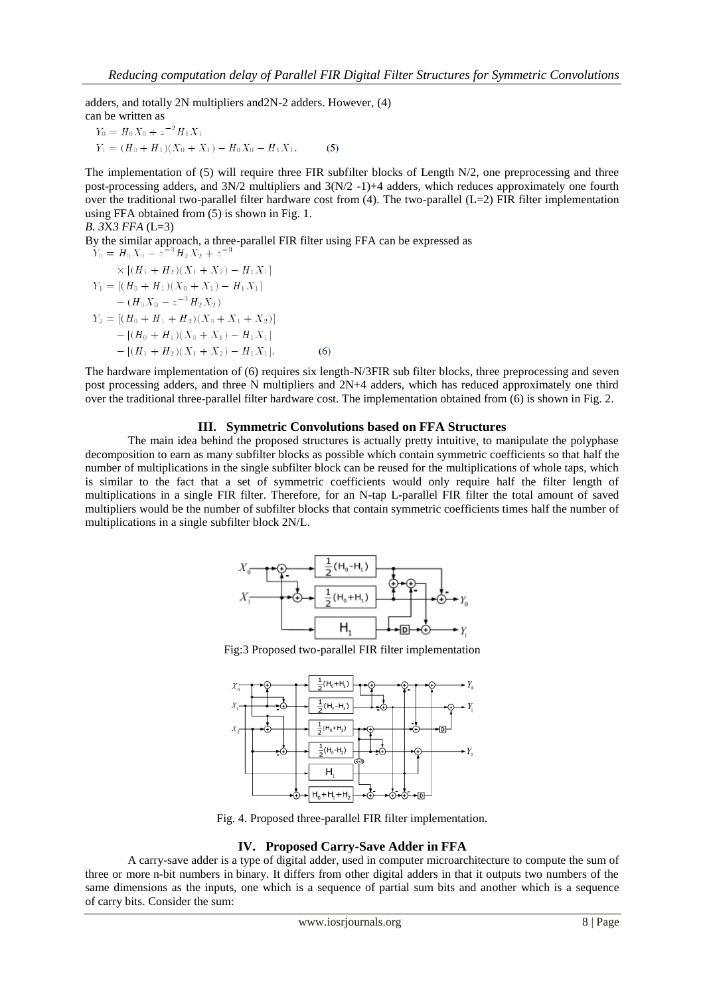adders, and totally 2N multipliers and2N-2 adders. However, (4) can be written as

$$
Y_0 = H_0 X_0 + z^{-2} H_1 X_1
$$
  
\n
$$
Y_1 = (H_0 + H_1)(X_0 + X_1) - H_0 X_0 - H_1 X_1.
$$
 (5)

The implementation of (5) will require three FIR subfilter blocks of Length N/2, one preprocessing and three post-processing adders, and 3N/2 multipliers and 3(N/2 -1)+4 adders, which reduces approximately one fourth over the traditional two-parallel filter hardware cost from  $(4)$ . The two-parallel  $(L=2)$  FIR filter implementation using FFA obtained from (5) is shown in Fig. 1.

$$
B. 3X3 FFA (L=3)
$$

By the similar approach, a three-parallel FIR filter using FFA can be expressed as  $Y_0 = H_0 X_0 - z^{-3} H_2 X_2 + z^{-3}$  $\times$  [ $(H_1 + H_2)(X_1 + X_2) - H_1X_1$ ]  $Y_1 = [(H_0 + H_1)(X_0 + X_1) - H_1X_1]$  $-(H_0X_0-z^{-3}H_2X_2)$  $Y_2 = [(H_0 + H_1 + H_2)(X_0 + X_1 + X_2)]$  $-[(H_0 + H_1)(X_0 + X_1) - H_1X_1]$  $-[(H_1 + H_2)(X_1 + X_2) - H_1X_1].$  $(6)$ 

The hardware implementation of (6) requires six length-N/3FIR sub filter blocks, three preprocessing and seven post processing adders, and three N multipliers and 2N+4 adders, which has reduced approximately one third over the traditional three-parallel filter hardware cost. The implementation obtained from (6) is shown in Fig. 2.

## **III. Symmetric Convolutions based on FFA Structures**

The main idea behind the proposed structures is actually pretty intuitive, to manipulate the polyphase decomposition to earn as many subfilter blocks as possible which contain symmetric coefficients so that half the number of multiplications in the single subfilter block can be reused for the multiplications of whole taps, which is similar to the fact that a set of symmetric coefficients would only require half the filter length of multiplications in a single FIR filter. Therefore, for an N-tap L-parallel FIR filter the total amount of saved multipliers would be the number of subfilter blocks that contain symmetric coefficients times half the number of multiplications in a single subfilter block 2N/L.



Fig:3 Proposed two-parallel FIR filter implementation



Fig. 4. Proposed three-parallel FIR filter implementation.

## **IV. Proposed [Carry-Save Adder](https://www.google.co.in/url?sa=t&rct=j&q=&esrc=s&source=web&cd=1&cad=rja&ved=0CCoQFjAA&url=http%3A%2F%2Fen.wikipedia.org%2Fwiki%2FCarry-save_adder&ei=EgCnUuHZKdCqrAecv4DgDw&usg=AFQjCNGEE2UD2hahs4K1ZR5wZS1wITXS5A) in FFA**

A carry-save adder is a type of [digital adder,](http://en.wikipedia.org/wiki/Adder_(electronics)) used in computer microarchitecture to compute the sum of three or more n-bit numbers in [binary.](http://en.wikipedia.org/wiki/Binary_numeral_system) It differs from other digital adders in that it outputs two numbers of the same dimensions as the inputs, one which is a sequence of partial sum bits and another which is a sequence of [carry](http://en.wikipedia.org/wiki/Carry_(arithmetic)) bits. Consider the sum: